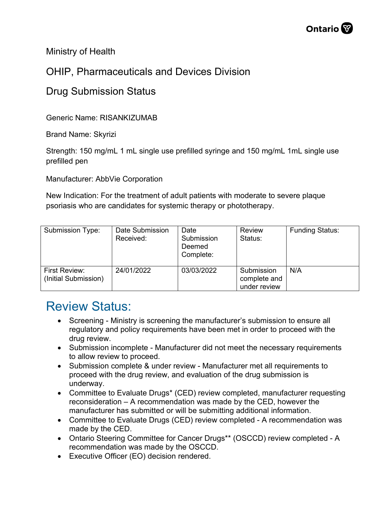

Ministry of Health

## OHIP, Pharmaceuticals and Devices Division

## Drug Submission Status

Generic Name: RISANKIZUMAB

Brand Name: Skyrizi

Strength: 150 mg/mL 1 mL single use prefilled syringe and 150 mg/mL 1mL single use prefilled pen

Manufacturer: AbbVie Corporation

New Indication: For the treatment of adult patients with moderate to severe plaque psoriasis who are candidates for systemic therapy or phototherapy.

| Submission Type:                      | Date Submission<br>Received: | Date<br>Submission<br>Deemed<br>Complete: | <b>Review</b><br>Status:                   | <b>Funding Status:</b> |
|---------------------------------------|------------------------------|-------------------------------------------|--------------------------------------------|------------------------|
| First Review:<br>(Initial Submission) | 24/01/2022                   | 03/03/2022                                | Submission<br>complete and<br>under review | N/A                    |

## Review Status:

- Screening Ministry is screening the manufacturer's submission to ensure all regulatory and policy requirements have been met in order to proceed with the drug review.
- Submission incomplete Manufacturer did not meet the necessary requirements to allow review to proceed.
- Submission complete & under review Manufacturer met all requirements to proceed with the drug review, and evaluation of the drug submission is underway.
- Committee to Evaluate Drugs\* (CED) review completed, manufacturer requesting reconsideration – A recommendation was made by the CED, however the manufacturer has submitted or will be submitting additional information.
- Committee to Evaluate Drugs (CED) review completed A recommendation was made by the CED.
- Ontario Steering Committee for Cancer Drugs\*\* (OSCCD) review completed A recommendation was made by the OSCCD.
- Executive Officer (EO) decision rendered.